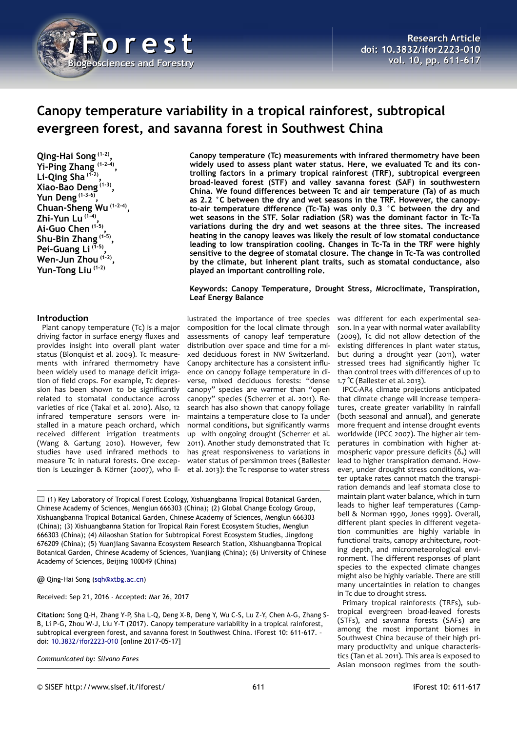

# **Canopy temperature variability in a tropical rainforest, subtropical evergreen forest, and savanna forest in Southwest China**

**Qing-Hai Song (1-2) , Yi-Ping Zhang (1-2-4) , Li-Qing Sha (1-2) , Xiao-Bao Deng (1-3) , Yun Deng (1-3-6) , Chuan-Sheng Wu (1-2-4) , Zhi-Yun Lu (1-4) , Ai-Guo Chen (1-5) , Shu-Bin Zhang (1-5) , Pei-Guang Li (1-5) , Wen-Jun Zhou (1-2) , Yun-Tong Liu (1-2)**

## **Introduction**

Plant canopy temperature (Tc) is a major driving factor in surface energy fluxes and provides insight into overall plant water status (Blonquist et al. 2009). Tc measurements with infrared thermometry have been widely used to manage deficit irrigation of field crops. For example, Tc depression has been shown to be significantly related to stomatal conductance across varieties of rice (Takai et al. 2010). Also, 12 infrared temperature sensors were installed in a mature peach orchard, which received different irrigation treatments (Wang & Gartung 2010). However, few studies have used infrared methods to measure Tc in natural forests. One exception is Leuzinger & Körner (2007), who il**Canopy temperature (Tc) measurements with infrared thermometry have been widely used to assess plant water status. Here, we evaluated Tc and its controlling factors in a primary tropical rainforest (TRF), subtropical evergreen broad-leaved forest (STF) and valley savanna forest (SAF) in southwestern China. We found differences between Tc and air temperature (Ta) of as much as 2.2 °C between the dry and wet seasons in the TRF. However, the canopyto-air temperature difference (Tc-Ta) was only 0.3 °C between the dry and wet seasons in the STF. Solar radiation (SR) was the dominant factor in Tc-Ta variations during the dry and wet seasons at the three sites. The increased heating in the canopy leaves was likely the result of low stomatal conductance leading to low transpiration cooling. Changes in Tc-Ta in the TRF were highly sensitive to the degree of stomatal closure. The change in Tc-Ta was controlled by the climate, but inherent plant traits, such as stomatal conductance, also played an important controlling role.**

## **Keywords: Canopy Temperature, Drought Stress, Microclimate, Transpiration, Leaf Energy Balance**

lustrated the importance of tree species composition for the local climate through assessments of canopy leaf temperature distribution over space and time for a mixed deciduous forest in NW Switzerland. Canopy architecture has a consistent influence on canopy foliage temperature in diverse, mixed deciduous forests: "dense canopy" species are warmer than "open canopy" species (Scherrer et al. 2011). Research has also shown that canopy foliage maintains a temperature close to Ta under normal conditions, but significantly warms up with ongoing drought (Scherrer et al. 2011). Another study demonstrated that Tc has great responsiveness to variations in water status of persimmon trees (Ballester et al. 2013): the Tc response to water stress

 $\Box$  (1) Key Laboratory of Tropical Forest Ecology, Xishuangbanna Tropical Botanical Garden, Chinese Academy of Sciences, Menglun 666303 (China); (2) Global Change Ecology Group, Xishuangbanna Tropical Botanical Garden, Chinese Academy of Sciences, Menglun 666303 (China); (3) Xishuangbanna Station for Tropical Rain Forest Ecosystem Studies, Menglun 666303 (China); (4) Ailaoshan Station for Subtropical Forest Ecosystem Studies, Jingdong 676209 (China); (5) Yuanjiang Savanna Ecosystem Research Station, Xishuangbanna Tropical Botanical Garden, Chinese Academy of Sciences, Yuanjiang (China); (6) University of Chinese Academy of Sciences, Beijing 100049 (China)

@ Qing-Hai Song [\(sqh@xtbg.ac.cn\)](mailto:sqh@xtbg.ac.cn)

Received: Sep 21, 2016 - Accepted: Mar 26, 2017

**Citation:** Song Q-H, Zhang Y-P, Sha L-Q, Deng X-B, Deng Y, Wu C-S, Lu Z-Y, Chen A-G, Zhang S-B, Li P-G, Zhou W-J, Liu Y-T (2017). Canopy temperature variability in a tropical rainforest, subtropical evergreen forest, and savanna forest in Southwest China. iForest 10: 611-617. – doi: [10.3832/ifor2223-010](http://www.sisef.it/iforest/contents/?id=ifor2223-010) [online 2017-05-17]

*Communicated by: Silvano Fares*

was different for each experimental season. In a year with normal water availability (2009), Tc did not allow detection of the existing differences in plant water status, but during a drought year (2011), water stressed trees had significantly higher Tc than control trees with differences of up to 1.7 °C (Ballester et al. 2013).

IPCC-AR4 climate projections anticipated that climate change will increase temperatures, create greater variability in rainfall (both seasonal and annual), and generate more frequent and intense drought events worldwide (IPCC 2007). The higher air temperatures in combination with higher atmospheric vapor pressure deficits  $(\delta_e)$  will lead to higher transpiration demand. However, under drought stress conditions, water uptake rates cannot match the transpiration demands and leaf stomata close to maintain plant water balance, which in turn leads to higher leaf temperatures (Campbell & Norman 1990, Jones 1999). Overall, different plant species in different vegetation communities are highly variable in functional traits, canopy architecture, rooting depth, and micrometeorological environment. The different responses of plant species to the expected climate changes might also be highly variable. There are still many uncertainties in relation to changes in Tc due to drought stress.

Primary tropical rainforests (TRFs), subtropical evergreen broad-leaved forests (STFs), and savanna forests (SAFs) are among the most important biomes in Southwest China because of their high primary productivity and unique characteristics (Tan et al. 2011). This area is exposed to Asian monsoon regimes from the south-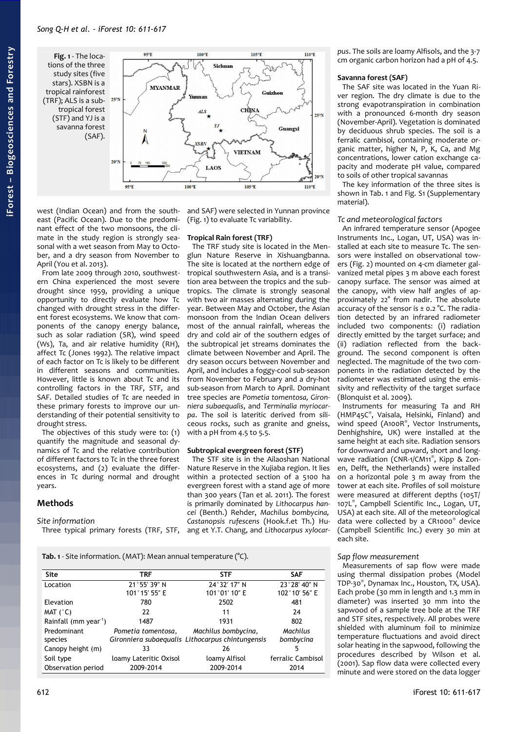<span id="page-1-0"></span>**Fig. 1** - The loca-95°E tions of the three study sites (five stars). XSBN is a **MYANMAR** tropical rainforest  $(TRF)$ ; ALS is a sub- $25^{\circ}N$ tropical forest (STF) and YJ is a savanna forest (SAF).  $20°1$ 95°E  $100^{\circ}E$ west (Indian Ocean) and from the south-

east (Pacific Ocean). Due to the predominant effect of the two monsoons, the climate in the study region is strongly seasonal with a wet season from May to October, and a dry season from November to April (You et al. 2013).

From late 2009 through 2010, southwestern China experienced the most severe drought since 1959, providing a unique opportunity to directly evaluate how Tc changed with drought stress in the different forest ecosystems. We know that components of the canopy energy balance, such as solar radiation (SR), wind speed (Ws), Ta, and air relative humidity (RH), affect Tc (Jones 1992). The relative impact of each factor on Tc is likely to be different in different seasons and communities. However, little is known about Tc and its controlling factors in the TRF, STF, and SAF. Detailed studies of Tc are needed in these primary forests to improve our understanding of their potential sensitivity to drought stress.

The objectives of this study were to: (1) quantify the magnitude and seasonal dynamics of Tc and the relative contribution of different factors to Tc in the three forest ecosystems, and (2) evaluate the differences in Tc during normal and drought years.

# **Methods**

# *Site information*

and SAF) were selected in Yunnan province [\(Fig. 1\)](#page-1-0) to evaluate Tc variability.

 $105^{\circ}E$ 

CHINA

**VIETNAM** 

105°E

Guizhou

Guangxi

 $110^{\circ}E$ 

 $250N$ 

 $110^{\circ}E$ 

# **Tropical Rain forest (TRF)**

 $100^{\circ}E$ 

 $ALS$ 

LAOS

Sichuan

The TRF study site is located in the Menglun Nature Reserve in Xishuangbanna. The site is located at the northern edge of tropical southwestern Asia, and is a transition area between the tropics and the subtropics. The climate is strongly seasonal with two air masses alternating during the year. Between May and October, the Asian monsoon from the Indian Ocean delivers most of the annual rainfall, whereas the dry and cold air of the southern edges of the subtropical jet streams dominates the climate between November and April. The dry season occurs between November and April, and includes a foggy-cool sub-season from November to February and a dry-hot sub-season from March to April. Dominant tree species are *Pometia tomentosa, Gironniera subaequalis*, and *Terminalia myriocarpa*. The soil is lateritic derived from siliceous rocks, such as granite and gneiss, with a pH from 4.5 to 5.5.

# **Subtropical evergreen forest (STF)**

Three typical primary forests (TRF, STF, ang et Y.T. Chang, and *Lithocarpus xylocar-*The STF site is in the Ailaoshan National Nature Reserve in the Xujiaba region. It lies within a protected section of a 5100 ha evergreen forest with a stand age of more than 300 years (Tan et al. 2011). The forest is primarily dominated by *Lithocarpus hancei* (Benth.) Rehder, *Machilus bombycina, Castanopsis rufescens* (Hook.f.et Th.) Hu-

*pus*. The soils are loamy Alfisols, and the 3-7 cm organic carbon horizon had a pH of 4.5.

# **Savanna forest (SAF)**

The SAF site was located in the Yuan River region. The dry climate is due to the strong evapotranspiration in combination with a pronounced 6-month dry season (November-April). Vegetation is dominated by deciduous shrub species. The soil is a ferralic cambisol, containing moderate organic matter, higher N, P, K, Ca, and Mg concentrations, lower cation exchange capacity and moderate pH value, compared to soils of other tropical savannas

The key information of the three sites is shown in [Tab. 1](#page-1-1) and Fig. S1 (Supplementary material).

# *Tc and meteorological factors*

An infrared temperature sensor (Apogee Instruments Inc., Logan, UT, USA) was installed at each site to measure Tc. The sensors were installed on observational towers [\(Fig. 2\)](#page-2-0) mounted on 4-cm diameter galvanized metal pipes 3 m above each forest canopy surface. The sensor was aimed at the canopy, with view half angles of approximately 22° from nadir. The absolute accuracy of the sensor is  $\pm$  0.2 °C. The radiation detected by an infrared radiometer included two components: (i) radiation directly emitted by the target surface; and (ii) radiation reflected from the background. The second component is often neglected. The magnitude of the two components in the radiation detected by the radiometer was estimated using the emissivity and reflectivity of the target surface (Blonquist et al. 2009).

Instruments for measuring Ta and RH (HMP45C® , Vaisala, Helsinki, Finland) and wind speed (A100R®, Vector Instruments, Denhighshire, UK) were installed at the same height at each site. Radiation sensors for downward and upward, short and longwave radiation (CNR-1/CM11®, Kipp & Zonen, Delft, the Netherlands) were installed on a horizontal pole 3 m away from the tower at each site. Profiles of soil moisture were measured at different depths (105T/ 107L® , Campbell Scientific Inc., Logan, UT, USA) at each site. All of the meteorological data were collected by a CR1000® device (Campbell Scientific Inc.) every 30 min at each site.

# *Sap flow measurement*

Measurements of sap flow were made using thermal dissipation probes (Model TDP-30® , Dynamax Inc., Houston, TX, USA). Each probe (30 mm in length and 1.3 mm in diameter) was inserted 30 mm into the sapwood of a sample tree bole at the TRF and STF sites, respectively. All probes were shielded with aluminum foil to minimize temperature fluctuations and avoid direct solar heating in the sapwood, following the procedures described by Wilson et al. (2001). Sap flow data were collected every minute and were stored on the data logger

<span id="page-1-1"></span>**Tab. 1** - Site information. (MAT): Mean annual temperature (°C).

| <b>Site</b>                       | <b>TRF</b>             | <b>STF</b>                                       | <b>SAF</b>        |
|-----------------------------------|------------------------|--------------------------------------------------|-------------------|
| Location                          | 21°55' 39" N           | 24°32′17″N                                       | 23°28' 40" N      |
|                                   | 101°15' 55" E          | 101°01' 10" E                                    | 102°10' 56" E     |
| Elevation                         | 780                    | 2502                                             | 481               |
| MAT $(^{\circ}C)$                 | 22                     | 11                                               | 24                |
| Rainfall (mm year <sup>-1</sup> ) | 1487                   | 1931                                             | 802               |
| Predominant                       | Pometia tomentosa,     | Machilus bombycina,                              | Machilus          |
| species                           |                        | Gironniera subaequalis Lithocarpus chintungensis | bombycina         |
| Canopy height (m)                 | 33                     | 26                                               | 5                 |
| Soil type                         | loamy Lateritic Oxisol | loamy Alfisol                                    | ferralic Cambisol |
| Observation period                | 2009-2014              | 2009-2014                                        | 2014              |

**iForest –**

**Bio geoscie**

**nces a nd Forestry**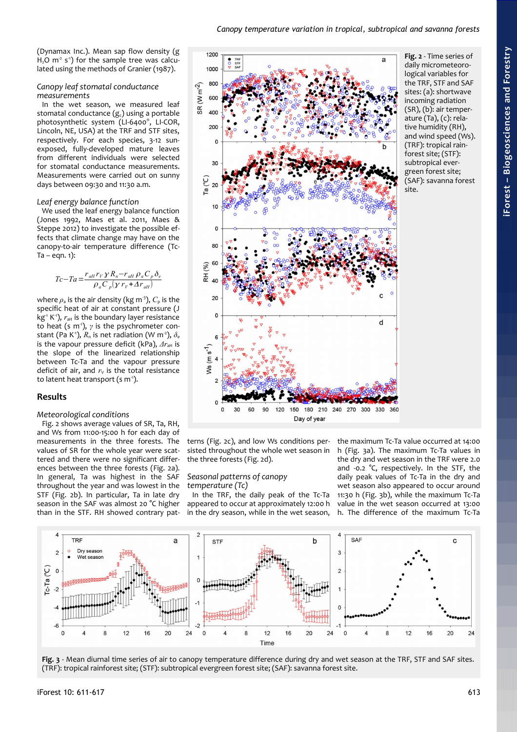(Dynamax Inc.). Mean sap flow density (g  $H<sub>2</sub>O$  m<sup>-2</sup> s<sup>-1</sup>) for the sample tree was calculated using the methods of Granier (1987).

## *Canopy leaf stomatal conductance measurements*

In the wet season, we measured leaf stomatal conductance  $(g_c)$  using a portable photosynthetic system (LI-6400® , LI-COR, Lincoln, NE, USA) at the TRF and STF sites, respectively. For each species, 3-12 sunexposed, fully-developed mature leaves from different individuals were selected for stomatal conductance measurements. Measurements were carried out on sunny days between 09:30 and 11:30 a.m.

#### *Leaf energy balance function*

We used the leaf energy balance function (Jones 1992, Maes et al. 2011, Maes & Steppe 2012) to investigate the possible effects that climate change may have on the canopy-to-air temperature difference (Tc- $Ta - eqn. 1$ :

$$
T_c-T_a=\frac{r_{aH}r_V\gamma R_n-r_{aH}\rho_aC_p\delta_e}{\rho_aC_p(\gamma r_v+\Delta r_{aH})}
$$

where  $\rho_a$  is the air density (kg m<sup>-3</sup>),  $C_p$  is the specific heat of air at constant pressure (J  $kg<sup>-1</sup> K<sup>-1</sup>$ ),  $r<sub>ah</sub>$  is the boundary layer resistance to heat (s m<sup>-1</sup>),  $\gamma$  is the psychrometer constant (Pa K<sup>-1</sup>),  $R_n$  is net radiation (W m<sup>-2</sup>),  $\delta_e$ is the vapour pressure deficit (kPa),  $\Delta r_{\text{alt}}$  is the slope of the linearized relationship between Tc-Ta and the vapour pressure deficit of air, and  $r<sub>V</sub>$  is the total resistance to latent heat transport (s  $m<sup>-1</sup>$ ).

# **Results**

#### *Meteorological conditions*

[Fig. 2](#page-2-0) shows average values of SR, Ta, RH, and Ws from 11:00-15:00 h for each day of measurements in the three forests. The values of SR for the whole year were scattered and there were no significant differences between the three forests [\(Fig. 2a](#page-2-0)). In general, Ta was highest in the SAF throughout the year and was lowest in the STF [\(Fig. 2b](#page-2-0)). In particular, Ta in late dry season in the SAF was almost 20 °C higher than in the STF. RH showed contrary pat-

<span id="page-2-0"></span>

terns [\(Fig. 2c](#page-2-0)), and low Ws conditions persisted throughout the whole wet season in the three forests [\(Fig. 2d](#page-2-0)).

## *Seasonal patterns of canopy temperature (Tc)*

In the TRF, the daily peak of the Tc-Ta appeared to occur at approximately 12:00 h in the dry season, while in the wet season,

the maximum Tc-Ta value occurred at 14:00 h [\(Fig. 3a](#page-2-1)). The maximum Tc-Ta values in the dry and wet season in the TRF were 2.0 and -0.2 °C, respectively. In the STF, the daily peak values of Tc-Ta in the dry and wet season also appeared to occur around 11:30 h [\(Fig. 3b](#page-2-1)), while the maximum Tc-Ta value in the wet season occurred at 13:00 h. The difference of the maximum Tc-Ta



<span id="page-2-1"></span>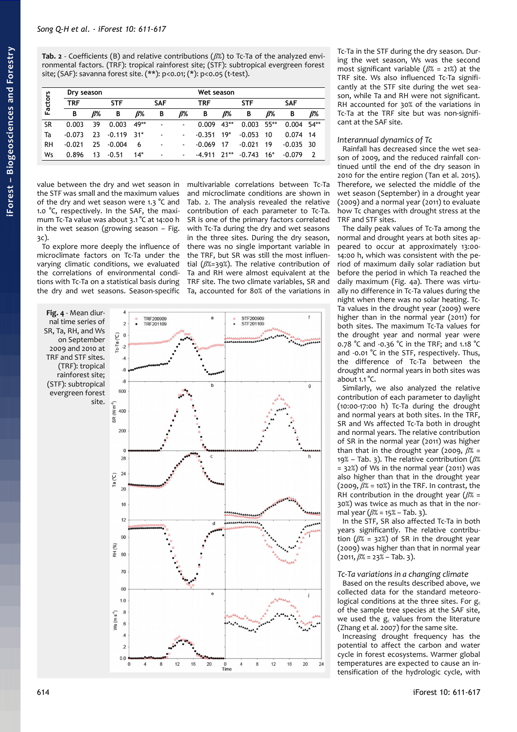<span id="page-3-1"></span>

| <b>Factors</b> |          | Dry season |            |       |            |        | Wet season |            |            |        |            |                          |
|----------------|----------|------------|------------|-------|------------|--------|------------|------------|------------|--------|------------|--------------------------|
|                | TRF      |            | <b>STF</b> |       | <b>SAF</b> |        | TRF        |            | <b>STF</b> |        | <b>SAF</b> |                          |
|                | B        | <i>R</i> % | В          | ß%    | в          | ß%     | В          | <i>R</i> % | В          | ß%     | В          | ß%                       |
| SR             | 0.003    | 39         | 0.003      | 49**  | ۰          |        | 0.009      | $43**$     | 0.003      | $55**$ | 0.004      | $54**$                   |
| Ta             | $-0.073$ | 23         | $-0.119$   | _ २1* | ۰          |        | $-0.351$   | $19*$      | $-0.053$   | 10     | 0.074      | 14                       |
| RH             | $-0.021$ | 25         | $-0.004$   | 6     | ۰          | ٠.     | $-0.069$   | 17         | $-0.021$   | 19     | $-0.035$   | -30                      |
| Ws             | 0.896    | 13         | $-0.51$    | $14*$ | ۰          | $\sim$ | $-4.911$   | $71**$     | $-0.743$   | $16*$  | $-0.079$   | $\overline{\phantom{a}}$ |

value between the dry and wet season in the STF was small and the maximum values of the dry and wet season were 1.3 °C and 1.0 °C, respectively. In the SAF, the maximum Tc-Ta value was about 3.1 °C at 14:00 h in the wet season (growing season – [Fig.](#page-2-1) [3c](#page-2-1)).

To explore more deeply the influence of microclimate factors on Tc-Ta under the varying climatic conditions, we evaluated the correlations of environmental conditions with Tc-Ta on a statistical basis during the dry and wet seasons. Season-specific multivariable correlations between Tc-Ta and microclimate conditions are shown in [Tab. 2.](#page-3-1) The analysis revealed the relative contribution of each parameter to Tc-Ta. SR is one of the primary factors correlated with Tc-Ta during the dry and wet seasons in the three sites. During the dry season, there was no single important variable in the TRF, but SR was still the most influential (*β*%=39%). The relative contribution of Ta and RH were almost equivalent at the TRF site. The two climate variables, SR and Ta, accounted for 80% of the variations in

<span id="page-3-0"></span>

Tc-Ta in the STF during the dry season. During the wet season, Ws was the second most significant variable (*β*% = 21%) at the TRF site. Ws also influenced Tc-Ta significantly at the STF site during the wet season, while Ta and RH were not significant. RH accounted for 30% of the variations in Tc-Ta at the TRF site but was non-significant at the SAF site.

# *Interannual dynamics of Tc*

Rainfall has decreased since the wet season of 2009, and the reduced rainfall continued until the end of the dry season in 2010 for the entire region (Tan et al. 2015). Therefore, we selected the middle of the wet season (September) in a drought year (2009) and a normal year (2011) to evaluate how Tc changes with drought stress at the TRF and STF sites.

The daily peak values of Tc-Ta among the normal and drought years at both sites appeared to occur at approximately 13:00- 14:00 h, which was consistent with the period of maximum daily solar radiation but before the period in which Ta reached the daily maximum [\(Fig. 4a](#page-3-0)). There was virtually no difference in Tc-Ta values during the night when there was no solar heating. Tc-Ta values in the drought year (2009) were higher than in the normal year (2011) for both sites. The maximum Tc-Ta values for the drought year and normal year were 0.78 °C and -0.36 °C in the TRF; and 1.18 °C and -0.01 °C in the STF, respectively. Thus, the difference of Tc-Ta between the drought and normal years in both sites was about 1.1 °C.

Similarly, we also analyzed the relative contribution of each parameter to daylight (10:00-17:00 h) Tc-Ta during the drought and normal years at both sites. In the TRF, SR and Ws affected Tc-Ta both in drought and normal years. The relative contribution of SR in the normal year (2011) was higher than that in the drought year (2009, *β*% = 19% – [Tab. 3\)](#page-4-0). The relative contribution (*β*%  $= 32\%)$  of Ws in the normal year (2011) was also higher than that in the drought year (2009, *β*% = 10%) in the TRF. In contrast, the RH contribution in the drought year (*β*% = 30%) was twice as much as that in the normal year (*β*% = 15% – [Tab. 3\)](#page-4-0).

In the STF, SR also affected Tc-Ta in both years significantly. The relative contribution (*β*% = 32%) of SR in the drought year (2009) was higher than that in normal year  $(2011, \beta$ % = 23% – [Tab. 3\)](#page-4-0).

# *Tc-Ta variations in a changing climate*

Based on the results described above, we collected data for the standard meteorological conditions at the three sites. For  $g_c$ of the sample tree species at the SAF site, we used the  $g_c$  values from the literature (Zhang et al. 2007) for the same site.

Increasing drought frequency has the potential to affect the carbon and water cycle in forest ecosystems. Warmer global temperatures are expected to cause an intensification of the hydrologic cycle, with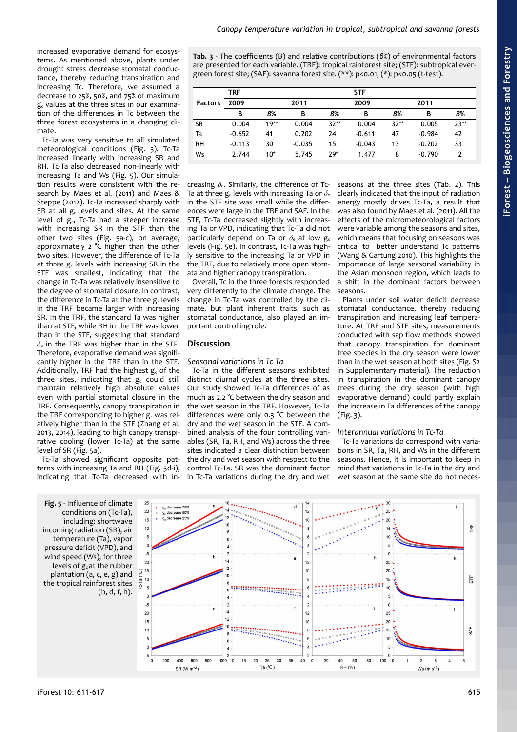increased evaporative demand for ecosystems. As mentioned above, plants under drought stress decrease stomatal conductance, thereby reducing transpiration and increasing Tc. Therefore, we assumed a decrease to 25%, 50%, and 75% of maximum  $g_c$  values at the three sites in our examination of the differences in Tc between the three forest ecosystems in a changing climate.

Tc-Ta was very sensitive to all simulated meteorological conditions [\(Fig. 5\)](#page-4-1). Tc-Ta increased linearly with increasing SR and RH. Tc-Ta also decreased non-linearly with increasing Ta and Ws [\(Fig. 5\)](#page-4-1). Our simulation results were consistent with the research by Maes et al. (2011) and Maes & Steppe (2012). Tc-Ta increased sharply with SR at all  $g_c$  levels and sites. At the same level of  $g_c$ , Tc-Ta had a steeper increase with increasing SR in the STF than the other two sites [\(Fig. 5a](#page-4-1)-c), on average, approximately 2 °C higher than the other two sites. However, the difference of Tc-Ta at three  $g_c$  levels with increasing SR in the STF was smallest, indicating that the change in Tc-Ta was relatively insensitive to the degree of stomatal closure. In contrast, the difference in Tc-Ta at the three  $g_c$  levels in the TRF became larger with increasing SR. In the TRF, the standard Ta was higher than at STF, while RH in the TRF was lower than in the STF, suggesting that standard *δ*e in the TRF was higher than in the STF. Therefore, evaporative demand was significantly higher in the TRF than in the STF. Additionally, TRF had the highest  $g_c$  of the three sites, indicating that  $g_c$  could still maintain relatively high absolute values even with partial stomatal closure in the TRF. Consequently, canopy transpiration in the TRF corresponding to higher  $g_c$  was relatively higher than in the STF (Zhang et al. 2013, 2014), leading to high canopy transpirative cooling (lower Tc-Ta) at the same level of SR [\(Fig. 5a](#page-4-1)).

Tc-Ta showed significant opposite patterns with increasing Ta and RH [\(Fig. 5d](#page-4-1)-i), indicating that Tc-Ta decreased with in<span id="page-4-0"></span>**Tab. 3** - The coefficients (B) and relative contributions (*β*%) of environmental factors are presented for each variable. (TRF): tropical rainforest site; (STF): subtropical evergreen forest site; (SAF): savanna forest site. (\*\*): p<0.01; (\*): p<0.05 (t-test).

|                | TRF      |        |          |        | <b>STF</b> |        |          |        |
|----------------|----------|--------|----------|--------|------------|--------|----------|--------|
| <b>Factors</b> | 2009     |        | 2011     |        | 2009       |        | 2011     |        |
|                | B        | В%     | В        | В%     | B          | В%     | В        | В%     |
| SR             | 0.004    | $19**$ | 0.004    | $32**$ | 0.004      | $32**$ | 0.005    | $23**$ |
| Ta             | $-0.652$ | 41     | 0.202    | 24     | $-0.611$   | 47     | $-0.984$ | 42     |
| <b>RH</b>      | $-0.113$ | 30     | $-0.035$ | 15     | $-0.043$   | 13     | $-0.202$ | 33     |
| Ws             | 2.744    | $10*$  | 5.745    | $29*$  | 1.477      | 8      | $-0.790$ | 2      |

creasing *δ*e. Similarly, the difference of Tc-Ta at three  $g_c$  levels with increasing Ta or  $\delta_e$ in the STF site was small while the differences were large in the TRF and SAF. In the STF, Tc-Ta decreased slightly with increasing Ta or VPD, indicating that Tc-Ta did not particularly depend on Ta or  $\delta_e$  at low  $g_c$ levels [\(Fig. 5e](#page-4-1)). In contrast, Tc-Ta was highly sensitive to the increasing Ta or VPD in the TRF, due to relatively more open stomata and higher canopy transpiration.

Overall, Tc in the three forests responded very differently to the climate change. The change in Tc-Ta was controlled by the climate, but plant inherent traits, such as stomatal conductance, also played an important controlling role.

# **Discussion**

## *Seasonal variations in Tc-Ta*

Tc-Ta in the different seasons exhibited distinct diurnal cycles at the three sites. Our study showed Tc-Ta differences of as much as 2.2 °C between the dry season and the wet season in the TRF. However, Tc-Ta differences were only 0.3 °C between the dry and the wet season in the STF. A combined analysis of the four controlling variables (SR, Ta, RH, and Ws) across the three sites indicated a clear distinction between the dry and wet season with respect to the control Tc-Ta. SR was the dominant factor in Tc-Ta variations during the dry and wet

seasons at the three sites [\(Tab. 2\)](#page-3-1). This clearly indicated that the input of radiation energy mostly drives Tc-Ta, a result that was also found by Maes et al. (2011). All the effects of the micrometeorological factors were variable among the seasons and sites, which means that focusing on seasons was critical to better understand Tc patterns (Wang & Gartung 2010). This highlights the importance of large seasonal variability in the Asian monsoon region, which leads to a shift in the dominant factors between seasons.

Plants under soil water deficit decrease stomatal conductance, thereby reducing transpiration and increasing leaf temperature. At TRF and STF sites, measurements conducted with sap flow methods showed that canopy transpiration for dominant tree species in the dry season were lower than in the wet season at both sites (Fig. S2 in Supplementary material). The reduction in transpiration in the dominant canopy trees during the dry season (with high evaporative demand) could partly explain the increase in Ta differences of the canopy [\(Fig. 3\)](#page-2-1).

# *Interannual variations in Tc-Ta*

Tc-Ta variations do correspond with variations in SR, Ta, RH, and Ws in the different seasons. Hence, it is important to keep in mind that variations in Tc-Ta in the dry and wet season at the same site do not neces-

<span id="page-4-1"></span>**Fig. 5** - Influence of climate conditions on (Tc-Ta), including: shortwave incoming radiation (SR), air temperature (Ta), vapor pressure deficit (VPD), and wind speed (Ws), for three levels of  $g_c$  at the rubber plantation (a, c, e, g) and  $\int e^{16}$ the tropical rainforest sites (b, d, f, h).

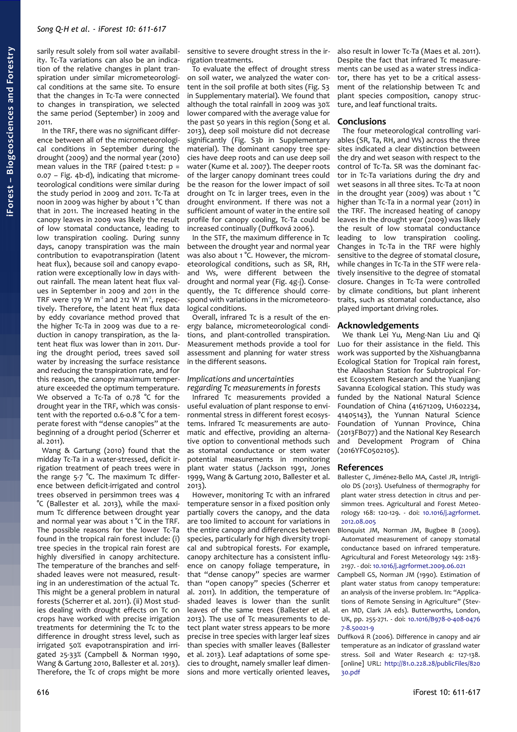sarily result solely from soil water availability. Tc-Ta variations can also be an indication of the relative changes in plant transpiration under similar micrometeorological conditions at the same site. To ensure that the changes in Tc-Ta were connected to changes in transpiration, we selected the same period (September) in 2009 and 2011.

In the TRF, there was no significant difference between all of the micrometeorological conditions in September during the drought (2009) and the normal year (2010) mean values in the TRF (paired t-test:  $p =$ 0.07 – [Fig. 4b](#page-3-0)-d), indicating that micrometeorological conditions were similar during the study period in 2009 and 2011. Tc-Ta at noon in 2009 was higher by about 1 °C than that in 2011. The increased heating in the canopy leaves in 2009 was likely the result of low stomatal conductance, leading to low transpiration cooling. During sunny days, canopy transpiration was the main contribution to evapotranspiration (latent heat flux), because soil and canopy evaporation were exceptionally low in days without rainfall. The mean latent heat flux values in September in 2009 and 2011 in the TRF were 179 W  $m<sup>2</sup>$  and 212 W  $m<sup>2</sup>$ , respectively. Therefore, the latent heat flux data by eddy covariance method proved that the higher Tc-Ta in 2009 was due to a reduction in canopy transpiration, as the latent heat flux was lower than in 2011. During the drought period, trees saved soil water by increasing the surface resistance and reducing the transpiration rate, and for this reason, the canopy maximum temperature exceeded the optimum temperature. We observed a Tc-Ta of 0.78 °C for the drought year in the TRF, which was consistent with the reported 0.6-0.8 °C for a temperate forest with "dense canopies" at the beginning of a drought period (Scherrer et al. 2011).

Wang & Gartung (2010) found that the midday Tc-Ta in a water-stressed, deficit irrigation treatment of peach trees were in the range 5-7 °C. The maximum Tc difference between deficit-irrigated and control trees observed in persimmon trees was 4 °C (Ballester et al. 2013), while the maximum Tc difference between drought year and normal year was about 1 °C in the TRF. The possible reasons for the lower Tc-Ta found in the tropical rain forest include: (i) tree species in the tropical rain forest are highly diversified in canopy architecture. The temperature of the branches and selfshaded leaves were not measured, resulting in an underestimation of the actual Tc. This might be a general problem in natural forests (Scherrer et al. 2011). (ii) Most studies dealing with drought effects on Tc on crops have worked with precise irrigation treatments for determining the Tc to the difference in drought stress level, such as irrigated 50% evapotranspiration and irrigated 25-33% (Campbell & Norman 1990, Wang & Gartung 2010, Ballester et al. 2013). Therefore, the Tc of crops might be more sensitive to severe drought stress in the irrigation treatments.

To evaluate the effect of drought stress on soil water, we analyzed the water content in the soil profile at both sites (Fig. S3 in Supplementary material). We found that although the total rainfall in 2009 was 30% lower compared with the average value for the past 50 years in this region (Song et al. 2013), deep soil moisture did not decrease significantly (Fig. S3b in Supplementary material). The dominant canopy tree species have deep roots and can use deep soil water (Kume et al. 2007). The deeper roots of the larger canopy dominant trees could be the reason for the lower impact of soil drought on Tc in larger trees, even in the drought environment. If there was not a sufficient amount of water in the entire soil profile for canopy cooling, Tc-Ta could be increased continually (Duffková 2006).

In the STF, the maximum difference in Tc between the drought year and normal year was also about 1 °C. However, the micrometeorological conditions, such as SR, RH, and Ws, were different between the drought and normal year [\(Fig. 4g](#page-3-0)-j). Consequently, the Tc difference should correspond with variations in the micrometeorological conditions.

Overall, infrared Tc is a result of the energy balance, micrometeorological conditions, and plant-controlled transpiration. Measurement methods provide a tool for assessment and planning for water stress in the different seasons.

## *Implications and uncertainties regarding Tc measurements in forests*

Infrared Tc measurements provided a useful evaluation of plant response to environmental stress in different forest ecosystems. Infrared Tc measurements are automatic and effective, providing an alternative option to conventional methods such as stomatal conductance or stem water potential measurements in monitoring plant water status (Jackson 1991, Jones 1999, Wang & Gartung 2010, Ballester et al. 2013).

However, monitoring Tc with an infrared temperature sensor in a fixed position only partially covers the canopy, and the data are too limited to account for variations in the entire canopy and differences between species, particularly for high diversity tropical and subtropical forests. For example, canopy architecture has a consistent influence on canopy foliage temperature, in that "dense canopy" species are warmer than "open canopy" species (Scherrer et al. 2011). In addition, the temperature of shaded leaves is lower than the sunlit leaves of the same trees (Ballester et al. 2013). The use of Tc measurements to detect plant water stress appears to be more precise in tree species with larger leaf sizes than species with smaller leaves (Ballester et al. 2013). Leaf adaptations of some species to drought, namely smaller leaf dimensions and more vertically oriented leaves,

also result in lower Tc-Ta (Maes et al. 2011). Despite the fact that infrared Tc measurements can be used as a water stress indicator, there has yet to be a critical assessment of the relationship between Tc and plant species composition, canopy structure, and leaf functional traits.

## **Conclusions**

The four meteorological controlling variables (SR, Ta, RH, and Ws) across the three sites indicated a clear distinction between the dry and wet season with respect to the control of Tc-Ta. SR was the dominant factor in Tc-Ta variations during the dry and wet seasons in all three sites. Tc-Ta at noon in the drought year (2009) was about 1 °C higher than Tc-Ta in a normal year (2011) in the TRF. The increased heating of canopy leaves in the drought year (2009) was likely the result of low stomatal conductance leading to low transpiration cooling. Changes in Tc-Ta in the TRF were highly sensitive to the degree of stomatal closure, while changes in Tc-Ta in the STF were relatively insensitive to the degree of stomatal closure. Changes in Tc-Ta were controlled by climate conditions, but plant inherent traits, such as stomatal conductance, also played important driving roles.

# **Acknowledgements**

We thank Lei Yu, Meng-Nan Liu and Qi Luo for their assistance in the field. This work was supported by the Xishuangbanna Ecological Station for Tropical rain forest, the Ailaoshan Station for Subtropical Forest Ecosystem Research and the Yuanjiang Savanna Ecological station. This study was funded by the National Natural Science Foundation of China (41671209, U1602234, 41405143), the Yunnan Natural Science Foundation of Yunnan Province, China (2013FB077) and the National Key Research and Development Program of China (2016YFC0502105).

#### **References**

Ballester C, Jiménez-Bello MA, Castel JR, Intrigliolo DS (2013). Usefulness of thermography for plant water stress detection in citrus and persimmon trees. Agricultural and Forest Meteorology 168: 120-129. - doi: [10.1016/j.agrformet.](http://dx.doi.org/10.1016/j.agrformet.2012.08.005) [2012.08.005](http://dx.doi.org/10.1016/j.agrformet.2012.08.005)

Blonquist JM, Norman JM, Bugbee B (2009). Automated measurement of canopy stomatal conductance based on infrared temperature. Agricultural and Forest Meteorology 149: 2183- 2197. - doi: [10.1016/j.agrformet.2009.06.021](http://dx.doi.org/10.1016/j.agrformet.2009.06.021)

Campbell GS, Norman JM (1990). Estimation of plant water status from canopy temperature: an analysis of the inverse problem. In: "Applications of Remote Sensing in Agriculture" (Steven MD, Clark JA eds). Butterworths, London, UK, pp. 255-271. - doi: [10.1016/B978-0-408-0476](http://dx.doi.org/10.1016/B978-0-408-04767-8.50021-9) [7-8.50021-9](http://dx.doi.org/10.1016/B978-0-408-04767-8.50021-9)

Duffková R (2006). Difference in canopy and air temperature as an indicator of grassland water stress. Soil and Water Research 4: 127-138. [online] URL: [http://81.0.228.28/publicFiles/820](http://81.0.228.28/publicFiles/82030.pdf) [30.pdf](http://81.0.228.28/publicFiles/82030.pdf)